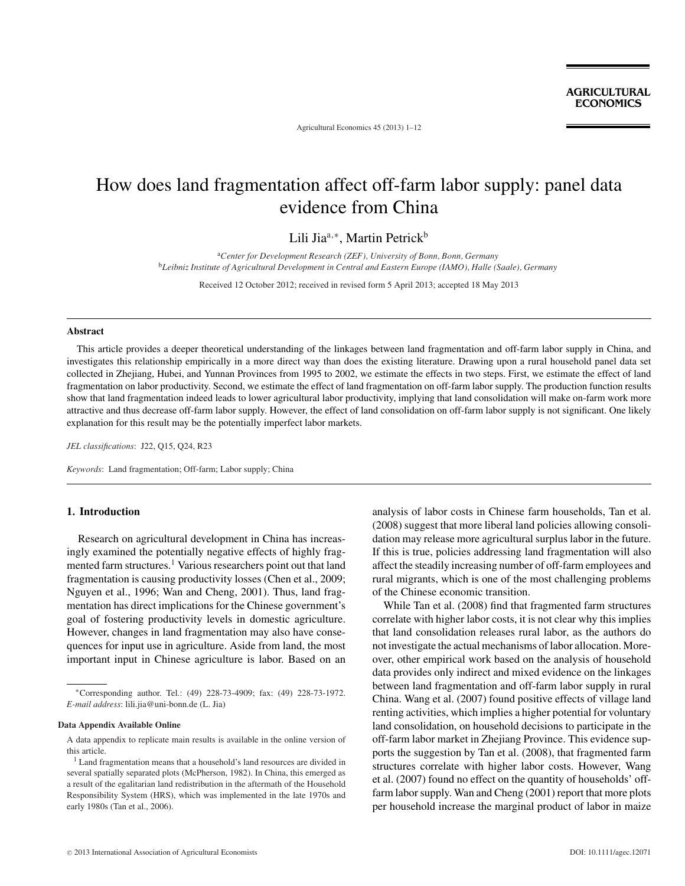Agricultural Economics 45 (2013) 1–12

# How does land fragmentation affect off-farm labor supply: panel data evidence from China

Lili Jia<sup>a,∗</sup>, Martin Petrick<sup>b</sup>

<sup>a</sup>*Center for Development Research (ZEF), University of Bonn, Bonn, Germany* <sup>b</sup>*Leibniz Institute of Agricultural Development in Central and Eastern Europe (IAMO), Halle (Saale), Germany*

Received 12 October 2012; received in revised form 5 April 2013; accepted 18 May 2013

#### **Abstract**

This article provides a deeper theoretical understanding of the linkages between land fragmentation and off-farm labor supply in China, and investigates this relationship empirically in a more direct way than does the existing literature. Drawing upon a rural household panel data set collected in Zhejiang, Hubei, and Yunnan Provinces from 1995 to 2002, we estimate the effects in two steps. First, we estimate the effect of land fragmentation on labor productivity. Second, we estimate the effect of land fragmentation on off-farm labor supply. The production function results show that land fragmentation indeed leads to lower agricultural labor productivity, implying that land consolidation will make on-farm work more attractive and thus decrease off-farm labor supply. However, the effect of land consolidation on off-farm labor supply is not significant. One likely explanation for this result may be the potentially imperfect labor markets.

*JEL classifications*: J22, Q15, Q24, R23

*Keywords*: Land fragmentation; Off-farm; Labor supply; China

#### **1. Introduction**

Research on agricultural development in China has increasingly examined the potentially negative effects of highly fragmented farm structures.<sup>1</sup> Various researchers point out that land fragmentation is causing productivity losses (Chen et al., 2009; Nguyen et al., 1996; Wan and Cheng, 2001). Thus, land fragmentation has direct implications for the Chinese government's goal of fostering productivity levels in domestic agriculture. However, changes in land fragmentation may also have consequences for input use in agriculture. Aside from land, the most important input in Chinese agriculture is labor. Based on an

#### **Data Appendix Available Online**

analysis of labor costs in Chinese farm households, Tan et al. (2008) suggest that more liberal land policies allowing consolidation may release more agricultural surplus labor in the future. If this is true, policies addressing land fragmentation will also affect the steadily increasing number of off-farm employees and rural migrants, which is one of the most challenging problems of the Chinese economic transition.

While Tan et al. (2008) find that fragmented farm structures correlate with higher labor costs, it is not clear why this implies that land consolidation releases rural labor, as the authors do not investigate the actual mechanisms of labor allocation. Moreover, other empirical work based on the analysis of household data provides only indirect and mixed evidence on the linkages between land fragmentation and off-farm labor supply in rural China. Wang et al. (2007) found positive effects of village land renting activities, which implies a higher potential for voluntary land consolidation, on household decisions to participate in the off-farm labor market in Zhejiang Province. This evidence supports the suggestion by Tan et al. (2008), that fragmented farm structures correlate with higher labor costs. However, Wang et al. (2007) found no effect on the quantity of households' offfarm labor supply. Wan and Cheng (2001) report that more plots per household increase the marginal product of labor in maize

<sup>∗</sup>Corresponding author. Tel.: (49) 228-73-4909; fax: (49) 228-73-1972. *E-mail address*: lili.jia@uni-bonn.de (L. Jia)

A data appendix to replicate main results is available in the online version of this article.

<sup>&</sup>lt;sup>1</sup> Land fragmentation means that a household's land resources are divided in several spatially separated plots (McPherson, 1982). In China, this emerged as a result of the egalitarian land redistribution in the aftermath of the Household Responsibility System (HRS), which was implemented in the late 1970s and early 1980s (Tan et al., 2006).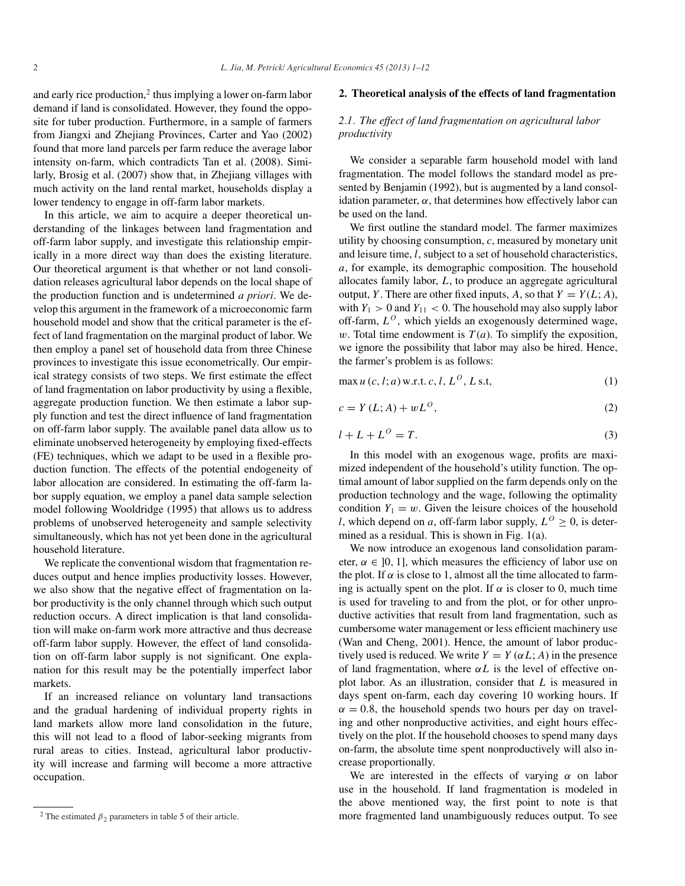and early rice production, $2$  thus implying a lower on-farm labor demand if land is consolidated. However, they found the opposite for tuber production. Furthermore, in a sample of farmers from Jiangxi and Zhejiang Provinces, Carter and Yao (2002) found that more land parcels per farm reduce the average labor intensity on-farm, which contradicts Tan et al. (2008). Similarly, Brosig et al. (2007) show that, in Zhejiang villages with much activity on the land rental market, households display a lower tendency to engage in off-farm labor markets.

In this article, we aim to acquire a deeper theoretical understanding of the linkages between land fragmentation and off-farm labor supply, and investigate this relationship empirically in a more direct way than does the existing literature. Our theoretical argument is that whether or not land consolidation releases agricultural labor depends on the local shape of the production function and is undetermined *a priori*. We develop this argument in the framework of a microeconomic farm household model and show that the critical parameter is the effect of land fragmentation on the marginal product of labor. We then employ a panel set of household data from three Chinese provinces to investigate this issue econometrically. Our empirical strategy consists of two steps. We first estimate the effect of land fragmentation on labor productivity by using a flexible, aggregate production function. We then estimate a labor supply function and test the direct influence of land fragmentation on off-farm labor supply. The available panel data allow us to eliminate unobserved heterogeneity by employing fixed-effects (FE) techniques, which we adapt to be used in a flexible production function. The effects of the potential endogeneity of labor allocation are considered. In estimating the off-farm labor supply equation, we employ a panel data sample selection model following Wooldridge (1995) that allows us to address problems of unobserved heterogeneity and sample selectivity simultaneously, which has not yet been done in the agricultural household literature.

We replicate the conventional wisdom that fragmentation reduces output and hence implies productivity losses. However, we also show that the negative effect of fragmentation on labor productivity is the only channel through which such output reduction occurs. A direct implication is that land consolidation will make on-farm work more attractive and thus decrease off-farm labor supply. However, the effect of land consolidation on off-farm labor supply is not significant. One explanation for this result may be the potentially imperfect labor markets.

If an increased reliance on voluntary land transactions and the gradual hardening of individual property rights in land markets allow more land consolidation in the future, this will not lead to a flood of labor-seeking migrants from rural areas to cities. Instead, agricultural labor productivity will increase and farming will become a more attractive occupation.

#### **2. Theoretical analysis of the effects of land fragmentation**

# *2.1. The effect of land fragmentation on agricultural labor productivity*

We consider a separable farm household model with land fragmentation. The model follows the standard model as presented by Benjamin (1992), but is augmented by a land consolidation parameter,  $\alpha$ , that determines how effectively labor can be used on the land.

We first outline the standard model. The farmer maximizes utility by choosing consumption, *c*, measured by monetary unit and leisure time, *l*, subject to a set of household characteristics, *a*, for example, its demographic composition. The household allocates family labor, *L*, to produce an aggregate agricultural output, *Y*. There are other fixed inputs, *A*, so that  $Y = Y(L; A)$ , with  $Y_1 > 0$  and  $Y_{11} < 0$ . The household may also supply labor off-farm, *LO,* which yields an exogenously determined wage, *w*. Total time endowment is  $T(a)$ . To simplify the exposition, we ignore the possibility that labor may also be hired. Hence, the farmer's problem is as follows:

max 
$$
u(c, l; a)
$$
 w.r.t. c, l,  $L^0$ , L s.t, (1)

$$
c = Y(L; A) + wL^0,
$$
\n<sup>(2)</sup>

$$
l + L + L^0 = T.
$$
 (3)

In this model with an exogenous wage, profits are maximized independent of the household's utility function. The optimal amount of labor supplied on the farm depends only on the production technology and the wage, following the optimality condition  $Y_1 = w$ . Given the leisure choices of the household *l*, which depend on *a*, off-farm labor supply,  $L^O \geq 0$ , is determined as a residual. This is shown in Fig. 1(a).

We now introduce an exogenous land consolidation parameter,  $\alpha \in [0, 1]$ , which measures the efficiency of labor use on the plot. If  $\alpha$  is close to 1, almost all the time allocated to farming is actually spent on the plot. If  $\alpha$  is closer to 0, much time is used for traveling to and from the plot, or for other unproductive activities that result from land fragmentation, such as cumbersome water management or less efficient machinery use (Wan and Cheng, 2001). Hence, the amount of labor productively used is reduced. We write  $Y = Y(\alpha L; A)$  in the presence of land fragmentation, where  $\alpha L$  is the level of effective onplot labor. As an illustration, consider that *L* is measured in days spent on-farm, each day covering 10 working hours. If  $\alpha = 0.8$ , the household spends two hours per day on traveling and other nonproductive activities, and eight hours effectively on the plot. If the household chooses to spend many days on-farm, the absolute time spent nonproductively will also increase proportionally.

We are interested in the effects of varying  $\alpha$  on labor use in the household. If land fragmentation is modeled in the above mentioned way, the first point to note is that more fragmented land unambiguously reduces output. To see

<sup>&</sup>lt;sup>2</sup> The estimated  $\beta_2$  parameters in table 5 of their article.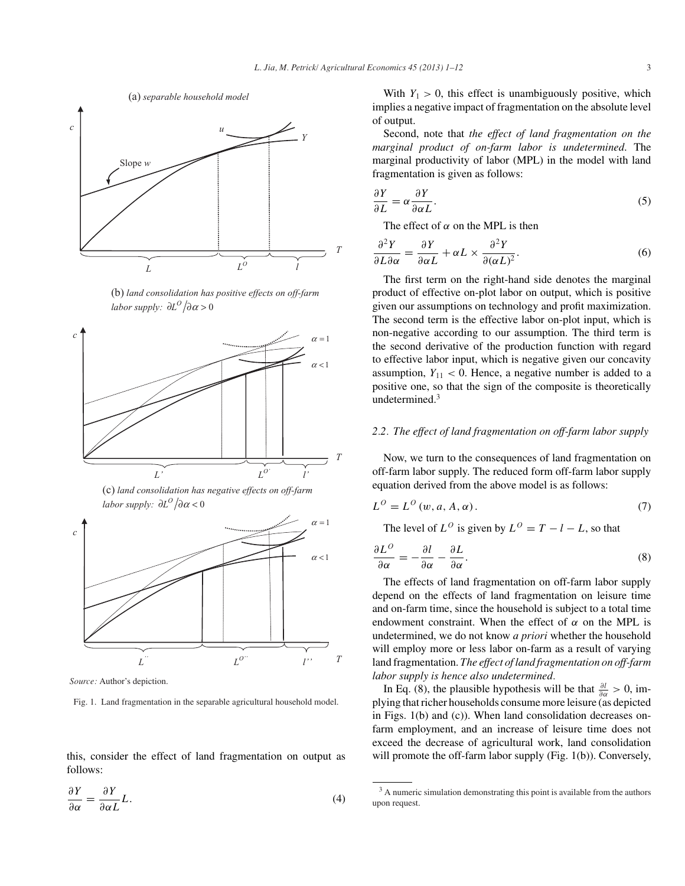

(b) *land consolidation has positive effects on off-farm labor supply:*  $\partial L^O/\partial \alpha > 0$ 



(c) *land consolidation has negative effects on off-farm labor supply:*  $\partial L^O/\partial \alpha < 0$ 



*Source:* Author's depiction.

Fig. 1. Land fragmentation in the separable agricultural household model.

this, consider the effect of land fragmentation on output as follows:

$$
\frac{\partial Y}{\partial \alpha} = \frac{\partial Y}{\partial \alpha L} L.
$$
 (4)

With  $Y_1 > 0$ , this effect is unambiguously positive, which implies a negative impact of fragmentation on the absolute level of output.

Second, note that *the effect of land fragmentation on the marginal product of on-farm labor is undetermined*. The marginal productivity of labor (MPL) in the model with land fragmentation is given as follows:

$$
\frac{\partial Y}{\partial L} = \alpha \frac{\partial Y}{\partial \alpha L}.
$$
 (5)

The effect of  $\alpha$  on the MPL is then

$$
\frac{\partial^2 Y}{\partial L \partial \alpha} = \frac{\partial Y}{\partial \alpha L} + \alpha L \times \frac{\partial^2 Y}{\partial (\alpha L)^2}.
$$
 (6)

The first term on the right-hand side denotes the marginal product of effective on-plot labor on output, which is positive given our assumptions on technology and profit maximization. The second term is the effective labor on-plot input, which is non-negative according to our assumption. The third term is the second derivative of the production function with regard to effective labor input, which is negative given our concavity assumption,  $Y_{11}$  < 0. Hence, a negative number is added to a positive one, so that the sign of the composite is theoretically undetermined.<sup>3</sup>

# *2.2. The effect of land fragmentation on off-farm labor supply*

Now, we turn to the consequences of land fragmentation on off-farm labor supply. The reduced form off-farm labor supply equation derived from the above model is as follows:

$$
L^{O} = L^{O}(w, a, A, \alpha). \tag{7}
$$

The level of  $L^0$  is given by  $L^0 = T - l - L$ , so that

$$
\frac{\partial L^O}{\partial \alpha} = -\frac{\partial l}{\partial \alpha} - \frac{\partial L}{\partial \alpha}.
$$
 (8)

The effects of land fragmentation on off-farm labor supply depend on the effects of land fragmentation on leisure time and on-farm time, since the household is subject to a total time endowment constraint. When the effect of *α* on the MPL is undetermined, we do not know *a priori* whether the household will employ more or less labor on-farm as a result of varying land fragmentation. *The effect of land fragmentation on off-farm labor supply is hence also undetermined.*

In Eq. (8), the plausible hypothesis will be that  $\frac{\partial l}{\partial \alpha} > 0$ , implying that richer households consume more leisure (as depicted in Figs. 1(b) and (c)). When land consolidation decreases onfarm employment, and an increase of leisure time does not exceed the decrease of agricultural work, land consolidation will promote the off-farm labor supply (Fig. 1(b)). Conversely,

<sup>&</sup>lt;sup>3</sup> A numeric simulation demonstrating this point is available from the authors upon request.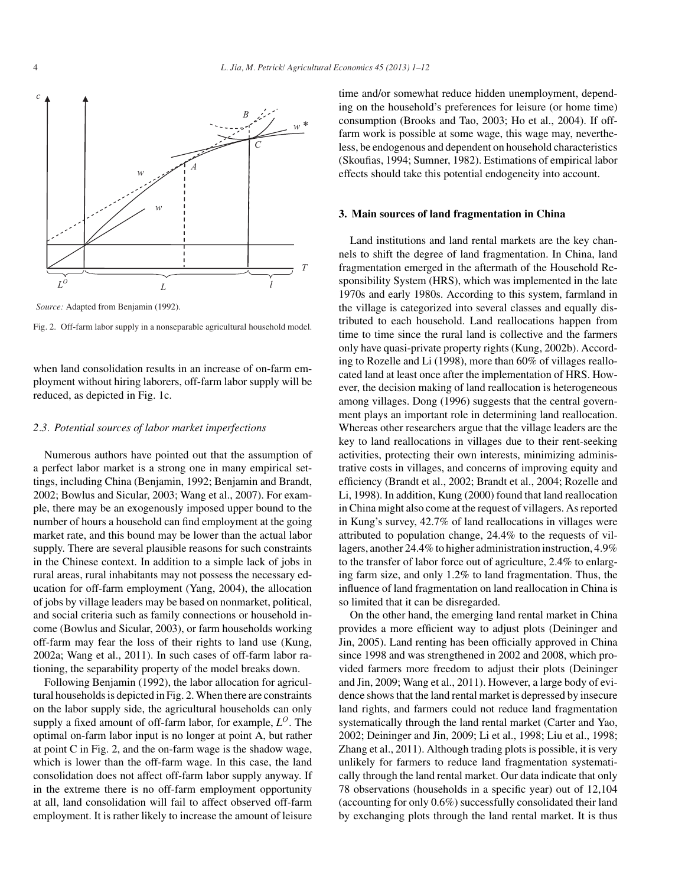

*Source:* Adapted from Benjamin (1992).

Fig. 2. Off-farm labor supply in a nonseparable agricultural household model.

when land consolidation results in an increase of on-farm employment without hiring laborers, off-farm labor supply will be reduced, as depicted in Fig. 1c.

#### *2.3. Potential sources of labor market imperfections*

Numerous authors have pointed out that the assumption of a perfect labor market is a strong one in many empirical settings, including China (Benjamin, 1992; Benjamin and Brandt, 2002; Bowlus and Sicular, 2003; Wang et al., 2007). For example, there may be an exogenously imposed upper bound to the number of hours a household can find employment at the going market rate, and this bound may be lower than the actual labor supply. There are several plausible reasons for such constraints in the Chinese context. In addition to a simple lack of jobs in rural areas, rural inhabitants may not possess the necessary education for off-farm employment (Yang, 2004), the allocation of jobs by village leaders may be based on nonmarket, political, and social criteria such as family connections or household income (Bowlus and Sicular, 2003), or farm households working off-farm may fear the loss of their rights to land use (Kung, 2002a; Wang et al., 2011). In such cases of off-farm labor rationing, the separability property of the model breaks down.

Following Benjamin (1992), the labor allocation for agricultural households is depicted in Fig. 2. When there are constraints on the labor supply side, the agricultural households can only supply a fixed amount of off-farm labor, for example,  $L^0$ . The optimal on-farm labor input is no longer at point A, but rather at point C in Fig. 2, and the on-farm wage is the shadow wage, which is lower than the off-farm wage. In this case, the land consolidation does not affect off-farm labor supply anyway. If in the extreme there is no off-farm employment opportunity at all, land consolidation will fail to affect observed off-farm employment. It is rather likely to increase the amount of leisure time and/or somewhat reduce hidden unemployment, depending on the household's preferences for leisure (or home time) consumption (Brooks and Tao, 2003; Ho et al., 2004). If offfarm work is possible at some wage, this wage may, nevertheless, be endogenous and dependent on household characteristics (Skoufias, 1994; Sumner, 1982). Estimations of empirical labor effects should take this potential endogeneity into account.

#### **3. Main sources of land fragmentation in China**

Land institutions and land rental markets are the key channels to shift the degree of land fragmentation. In China, land fragmentation emerged in the aftermath of the Household Responsibility System (HRS), which was implemented in the late 1970s and early 1980s. According to this system, farmland in the village is categorized into several classes and equally distributed to each household. Land reallocations happen from time to time since the rural land is collective and the farmers only have quasi-private property rights (Kung, 2002b). According to Rozelle and Li (1998), more than 60% of villages reallocated land at least once after the implementation of HRS. However, the decision making of land reallocation is heterogeneous among villages. Dong (1996) suggests that the central government plays an important role in determining land reallocation. Whereas other researchers argue that the village leaders are the key to land reallocations in villages due to their rent-seeking activities, protecting their own interests, minimizing administrative costs in villages, and concerns of improving equity and efficiency (Brandt et al., 2002; Brandt et al., 2004; Rozelle and Li, 1998). In addition, Kung (2000) found that land reallocation in China might also come at the request of villagers. As reported in Kung's survey, 42.7% of land reallocations in villages were attributed to population change, 24.4% to the requests of villagers, another 24.4% to higher administration instruction, 4.9% to the transfer of labor force out of agriculture, 2.4% to enlarging farm size, and only 1.2% to land fragmentation. Thus, the influence of land fragmentation on land reallocation in China is so limited that it can be disregarded.

On the other hand, the emerging land rental market in China provides a more efficient way to adjust plots (Deininger and Jin, 2005). Land renting has been officially approved in China since 1998 and was strengthened in 2002 and 2008, which provided farmers more freedom to adjust their plots (Deininger and Jin, 2009; Wang et al., 2011). However, a large body of evidence shows that the land rental market is depressed by insecure land rights, and farmers could not reduce land fragmentation systematically through the land rental market (Carter and Yao, 2002; Deininger and Jin, 2009; Li et al., 1998; Liu et al., 1998; Zhang et al., 2011). Although trading plots is possible, it is very unlikely for farmers to reduce land fragmentation systematically through the land rental market. Our data indicate that only 78 observations (households in a specific year) out of 12,104 (accounting for only 0.6%) successfully consolidated their land by exchanging plots through the land rental market. It is thus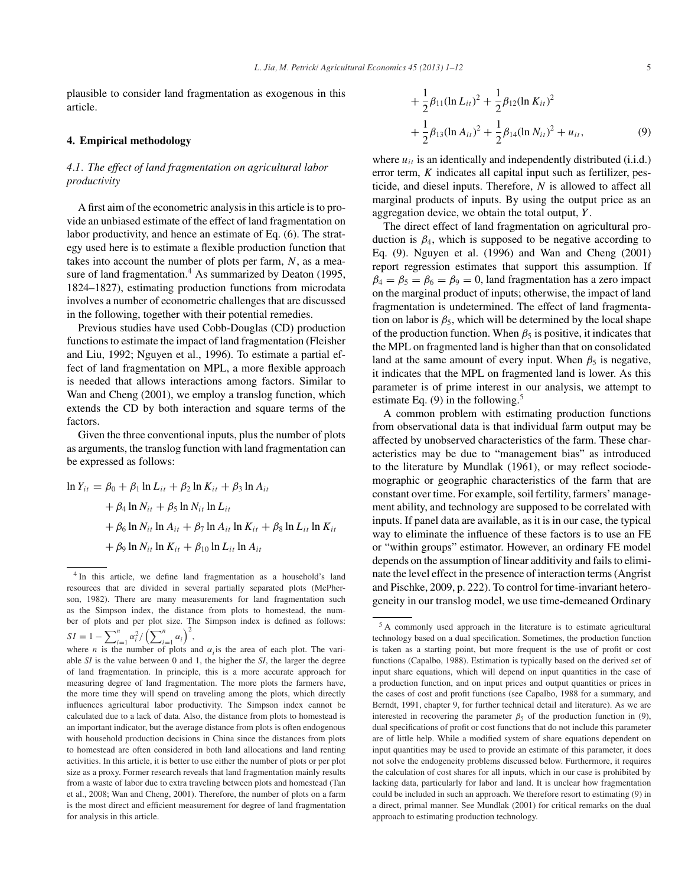plausible to consider land fragmentation as exogenous in this article.

## **4. Empirical methodology**

# *4.1. The effect of land fragmentation on agricultural labor productivity*

A first aim of the econometric analysis in this article is to provide an unbiased estimate of the effect of land fragmentation on labor productivity, and hence an estimate of Eq. (6). The strategy used here is to estimate a flexible production function that takes into account the number of plots per farm, *N*, as a measure of land fragmentation.<sup>4</sup> As summarized by Deaton  $(1995, 1995)$ 1824–1827), estimating production functions from microdata involves a number of econometric challenges that are discussed in the following, together with their potential remedies.

Previous studies have used Cobb-Douglas (CD) production functions to estimate the impact of land fragmentation (Fleisher and Liu, 1992; Nguyen et al., 1996). To estimate a partial effect of land fragmentation on MPL, a more flexible approach is needed that allows interactions among factors. Similar to Wan and Cheng (2001), we employ a translog function, which extends the CD by both interaction and square terms of the factors.

Given the three conventional inputs, plus the number of plots as arguments, the translog function with land fragmentation can be expressed as follows:

$$
\ln Y_{it} = \beta_0 + \beta_1 \ln L_{it} + \beta_2 \ln K_{it} + \beta_3 \ln A_{it}
$$
  
+  $\beta_4 \ln N_{it} + \beta_5 \ln N_{it} \ln L_{it}$   
+  $\beta_6 \ln N_{it} \ln A_{it} + \beta_7 \ln A_{it} \ln K_{it} + \beta_8 \ln L_{it} \ln K_{it}$   
+  $\beta_9 \ln N_{it} \ln K_{it} + \beta_{10} \ln L_{it} \ln A_{it}$ 

$$
+\frac{1}{2}\beta_{11}(\ln L_{it})^2 + \frac{1}{2}\beta_{12}(\ln K_{it})^2
$$
  
+
$$
\frac{1}{2}\beta_{13}(\ln A_{it})^2 + \frac{1}{2}\beta_{14}(\ln N_{it})^2 + u_{it},
$$
 (9)

where  $u_{it}$  is an identically and independently distributed (i.i.d.) error term, *K* indicates all capital input such as fertilizer, pesticide, and diesel inputs. Therefore, *N* is allowed to affect all marginal products of inputs. By using the output price as an aggregation device, we obtain the total output, *Y* .

The direct effect of land fragmentation on agricultural production is  $\beta_4$ , which is supposed to be negative according to Eq. (9). Nguyen et al. (1996) and Wan and Cheng (2001) report regression estimates that support this assumption. If  $\beta_4 = \beta_5 = \beta_6 = \beta_9 = 0$ , land fragmentation has a zero impact on the marginal product of inputs; otherwise, the impact of land fragmentation is undetermined. The effect of land fragmentation on labor is  $\beta_5$ , which will be determined by the local shape of the production function. When  $\beta_5$  is positive, it indicates that the MPL on fragmented land is higher than that on consolidated land at the same amount of every input. When  $\beta_5$  is negative, it indicates that the MPL on fragmented land is lower. As this parameter is of prime interest in our analysis, we attempt to estimate Eq.  $(9)$  in the following.<sup>5</sup>

A common problem with estimating production functions from observational data is that individual farm output may be affected by unobserved characteristics of the farm. These characteristics may be due to "management bias" as introduced to the literature by Mundlak (1961), or may reflect sociodemographic or geographic characteristics of the farm that are constant over time. For example, soil fertility, farmers' management ability, and technology are supposed to be correlated with inputs. If panel data are available, as it is in our case, the typical way to eliminate the influence of these factors is to use an FE or "within groups" estimator. However, an ordinary FE model depends on the assumption of linear additivity and fails to eliminate the level effect in the presence of interaction terms (Angrist and Pischke, 2009, p. 222). To control for time-invariant heterogeneity in our translog model, we use time-demeaned Ordinary

<sup>&</sup>lt;sup>4</sup> In this article, we define land fragmentation as a household's land resources that are divided in several partially separated plots (McPherson, 1982). There are many measurements for land fragmentation such as the Simpson index, the distance from plots to homestead, the number of plots and per plot size. The Simpson index is defined as follows:  $SI = 1 - \sum_{i=1}^{n} \alpha_i^2 / \left(\sum_{i=1}^{n} \alpha_i\right)^2$ 

where *n* is the number of plots and  $\alpha$  is the area of each plot. The variable *SI* is the value between 0 and 1, the higher the *SI*, the larger the degree of land fragmentation. In principle, this is a more accurate approach for measuring degree of land fragmentation. The more plots the farmers have, the more time they will spend on traveling among the plots, which directly influences agricultural labor productivity. The Simpson index cannot be calculated due to a lack of data. Also, the distance from plots to homestead is an important indicator, but the average distance from plots is often endogenous with household production decisions in China since the distances from plots to homestead are often considered in both land allocations and land renting activities. In this article, it is better to use either the number of plots or per plot size as a proxy. Former research reveals that land fragmentation mainly results from a waste of labor due to extra traveling between plots and homestead (Tan et al., 2008; Wan and Cheng, 2001). Therefore, the number of plots on a farm is the most direct and efficient measurement for degree of land fragmentation for analysis in this article.

<sup>5</sup> A commonly used approach in the literature is to estimate agricultural technology based on a dual specification. Sometimes, the production function is taken as a starting point, but more frequent is the use of profit or cost functions (Capalbo, 1988). Estimation is typically based on the derived set of input share equations, which will depend on input quantities in the case of a production function, and on input prices and output quantities or prices in the cases of cost and profit functions (see Capalbo, 1988 for a summary, and Berndt, 1991, chapter 9, for further technical detail and literature). As we are interested in recovering the parameter  $\beta_5$  of the production function in (9), dual specifications of profit or cost functions that do not include this parameter are of little help. While a modified system of share equations dependent on input quantities may be used to provide an estimate of this parameter, it does not solve the endogeneity problems discussed below. Furthermore, it requires the calculation of cost shares for all inputs, which in our case is prohibited by lacking data, particularly for labor and land. It is unclear how fragmentation could be included in such an approach. We therefore resort to estimating (9) in a direct, primal manner. See Mundlak (2001) for critical remarks on the dual approach to estimating production technology.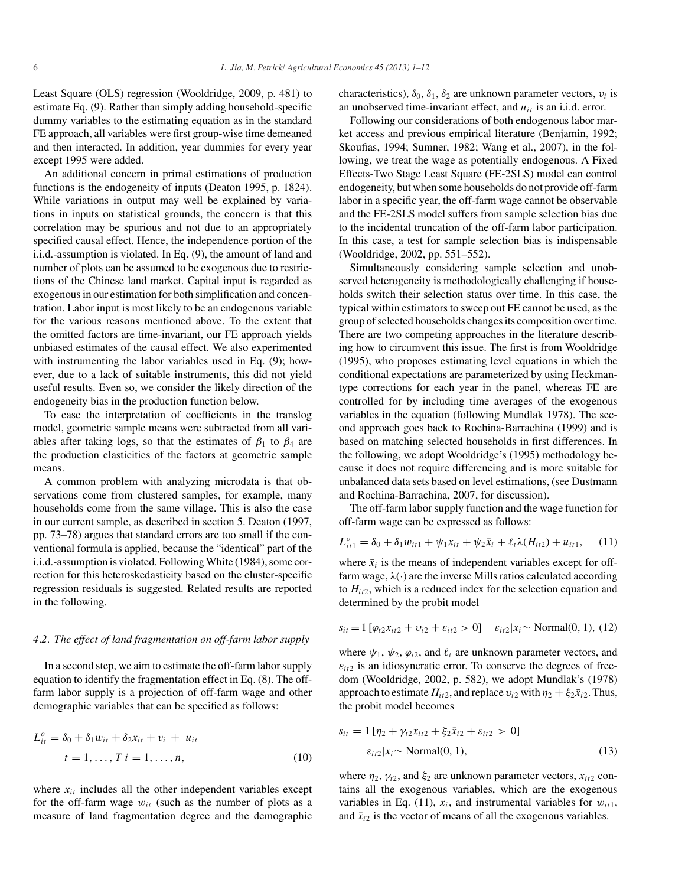Least Square (OLS) regression (Wooldridge, 2009, p. 481) to estimate Eq. (9). Rather than simply adding household-specific dummy variables to the estimating equation as in the standard FE approach, all variables were first group-wise time demeaned and then interacted. In addition, year dummies for every year except 1995 were added.

An additional concern in primal estimations of production functions is the endogeneity of inputs (Deaton 1995, p. 1824). While variations in output may well be explained by variations in inputs on statistical grounds, the concern is that this correlation may be spurious and not due to an appropriately specified causal effect. Hence, the independence portion of the i.i.d.-assumption is violated. In Eq. (9), the amount of land and number of plots can be assumed to be exogenous due to restrictions of the Chinese land market. Capital input is regarded as exogenous in our estimation for both simplification and concentration. Labor input is most likely to be an endogenous variable for the various reasons mentioned above. To the extent that the omitted factors are time-invariant, our FE approach yields unbiased estimates of the causal effect. We also experimented with instrumenting the labor variables used in Eq. (9); however, due to a lack of suitable instruments, this did not yield useful results. Even so, we consider the likely direction of the endogeneity bias in the production function below.

To ease the interpretation of coefficients in the translog model, geometric sample means were subtracted from all variables after taking logs, so that the estimates of  $\beta_1$  to  $\beta_4$  are the production elasticities of the factors at geometric sample means.

A common problem with analyzing microdata is that observations come from clustered samples, for example, many households come from the same village. This is also the case in our current sample, as described in section 5. Deaton (1997, pp. 73–78) argues that standard errors are too small if the conventional formula is applied, because the "identical" part of the i.i.d.-assumption is violated. Following White (1984), some correction for this heteroskedasticity based on the cluster-specific regression residuals is suggested. Related results are reported in the following.

#### *4.2. The effect of land fragmentation on off-farm labor supply*

In a second step, we aim to estimate the off-farm labor supply equation to identify the fragmentation effect in Eq. (8). The offfarm labor supply is a projection of off-farm wage and other demographic variables that can be specified as follows:

$$
L_{it}^{o} = \delta_0 + \delta_1 w_{it} + \delta_2 x_{it} + v_i + u_{it}
$$
  

$$
t = 1, ..., T \ i = 1, ..., n,
$$
 (10)

where  $x_{it}$  includes all the other independent variables except for the off-farm wage  $w_{it}$  (such as the number of plots as a measure of land fragmentation degree and the demographic characteristics),  $\delta_0$ ,  $\delta_1$ ,  $\delta_2$  are unknown parameter vectors,  $v_i$  is an unobserved time-invariant effect, and  $u_{it}$  is an i.i.d. error.

Following our considerations of both endogenous labor market access and previous empirical literature (Benjamin, 1992; Skoufias, 1994; Sumner, 1982; Wang et al., 2007), in the following, we treat the wage as potentially endogenous. A Fixed Effects-Two Stage Least Square (FE-2SLS) model can control endogeneity, but when some households do not provide off-farm labor in a specific year, the off-farm wage cannot be observable and the FE-2SLS model suffers from sample selection bias due to the incidental truncation of the off-farm labor participation. In this case, a test for sample selection bias is indispensable (Wooldridge, 2002, pp. 551–552).

Simultaneously considering sample selection and unobserved heterogeneity is methodologically challenging if households switch their selection status over time. In this case, the typical within estimators to sweep out FE cannot be used, as the group of selected households changes its composition over time. There are two competing approaches in the literature describing how to circumvent this issue. The first is from Wooldridge (1995), who proposes estimating level equations in which the conditional expectations are parameterized by using Heckmantype corrections for each year in the panel, whereas FE are controlled for by including time averages of the exogenous variables in the equation (following Mundlak 1978). The second approach goes back to Rochina-Barrachina (1999) and is based on matching selected households in first differences. In the following, we adopt Wooldridge's (1995) methodology because it does not require differencing and is more suitable for unbalanced data sets based on level estimations, (see Dustmann and Rochina-Barrachina, 2007, for discussion).

The off-farm labor supply function and the wage function for off-farm wage can be expressed as follows:

$$
L_{it1}^o = \delta_0 + \delta_1 w_{it1} + \psi_1 x_{it} + \psi_2 \bar{x}_i + \ell_t \lambda (H_{it2}) + u_{it1}, \quad (11)
$$

where  $\bar{x}_i$  is the means of independent variables except for offfarm wage, *λ*(·) are the inverse Mills ratios calculated according to  $H_{it2}$ , which is a reduced index for the selection equation and determined by the probit model

$$
s_{it} = 1 [\varphi_{t2} x_{it2} + \upsilon_{t2} + \varepsilon_{it2} > 0] \quad \varepsilon_{it2} | x_i \sim \text{Normal}(0, 1), \text{ (12)}
$$

where  $\psi_1$ ,  $\psi_2$ ,  $\varphi_{t2}$ , and  $\ell_t$  are unknown parameter vectors, and  $\varepsilon_{it2}$  is an idiosyncratic error. To conserve the degrees of freedom (Wooldridge, 2002, p. 582), we adopt Mundlak's (1978) approach to estimate  $H_{it2}$ , and replace  $v_{i2}$  with  $\eta_2 + \xi_2 \bar{x}_{i2}$ . Thus, the probit model becomes

$$
s_{it} = 1 [\eta_2 + \gamma_{t2} x_{it2} + \xi_2 \bar{x}_{i2} + \varepsilon_{it2} > 0]
$$
  

$$
\varepsilon_{it2} | x_i \sim \text{Normal}(0, 1), \qquad (13)
$$

where  $\eta_2$ ,  $\gamma_{t2}$ , and  $\xi_2$  are unknown parameter vectors,  $x_{it2}$  contains all the exogenous variables, which are the exogenous variables in Eq. (11),  $x_i$ , and instrumental variables for  $w_{it1}$ , and  $\bar{x}_{i2}$  is the vector of means of all the exogenous variables.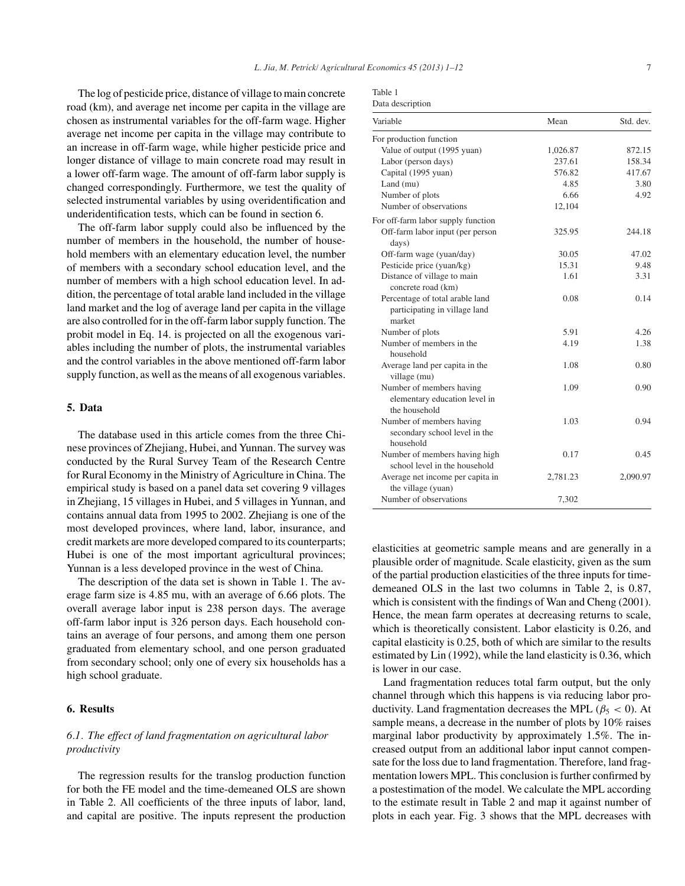The log of pesticide price, distance of village to main concrete road (km), and average net income per capita in the village are chosen as instrumental variables for the off-farm wage. Higher average net income per capita in the village may contribute to an increase in off-farm wage, while higher pesticide price and longer distance of village to main concrete road may result in a lower off-farm wage. The amount of off-farm labor supply is changed correspondingly. Furthermore, we test the quality of selected instrumental variables by using overidentification and underidentification tests, which can be found in section 6.

The off-farm labor supply could also be influenced by the number of members in the household, the number of household members with an elementary education level, the number of members with a secondary school education level, and the number of members with a high school education level. In addition, the percentage of total arable land included in the village land market and the log of average land per capita in the village are also controlled for in the off-farm labor supply function. The probit model in Eq. 14. is projected on all the exogenous variables including the number of plots, the instrumental variables and the control variables in the above mentioned off-farm labor supply function, as well as the means of all exogenous variables.

# **5. Data**

The database used in this article comes from the three Chinese provinces of Zhejiang, Hubei, and Yunnan. The survey was conducted by the Rural Survey Team of the Research Centre for Rural Economy in the Ministry of Agriculture in China. The empirical study is based on a panel data set covering 9 villages in Zhejiang, 15 villages in Hubei, and 5 villages in Yunnan, and contains annual data from 1995 to 2002. Zhejiang is one of the most developed provinces, where land, labor, insurance, and credit markets are more developed compared to its counterparts; Hubei is one of the most important agricultural provinces; Yunnan is a less developed province in the west of China.

The description of the data set is shown in Table 1. The average farm size is 4.85 mu, with an average of 6.66 plots. The overall average labor input is 238 person days. The average off-farm labor input is 326 person days. Each household contains an average of four persons, and among them one person graduated from elementary school, and one person graduated from secondary school; only one of every six households has a high school graduate.

# **6. Results**

# *6.1. The effect of land fragmentation on agricultural labor productivity*

The regression results for the translog production function for both the FE model and the time-demeaned OLS are shown in Table 2. All coefficients of the three inputs of labor, land, and capital are positive. The inputs represent the production

| Table 1          |
|------------------|
| Data description |

| Variable                                                                   | Mean     | Std. dev. |
|----------------------------------------------------------------------------|----------|-----------|
| For production function                                                    |          |           |
| Value of output (1995 yuan)                                                | 1,026.87 | 872.15    |
| Labor (person days)                                                        | 237.61   | 158.34    |
| Capital (1995 yuan)                                                        | 576.82   | 417.67    |
| Land (mu)                                                                  | 4.85     | 3.80      |
| Number of plots                                                            | 6.66     | 4.92      |
| Number of observations                                                     | 12,104   |           |
| For off-farm labor supply function                                         |          |           |
| Off-farm labor input (per person<br>days)                                  | 325.95   | 244.18    |
| Off-farm wage (yuan/day)                                                   | 30.05    | 47.02     |
| Pesticide price (yuan/kg)                                                  | 15.31    | 9.48      |
| Distance of village to main<br>concrete road (km)                          | 1.61     | 3.31      |
| Percentage of total arable land<br>participating in village land<br>market | 0.08     | 0.14      |
| Number of plots                                                            | 5.91     | 4.26      |
| Number of members in the<br>household                                      | 4.19     | 1.38      |
| Average land per capita in the<br>village (mu)                             | 1.08     | 0.80      |
| Number of members having<br>elementary education level in<br>the household | 1.09     | 0.90      |
| Number of members having<br>secondary school level in the<br>household     | 1.03     | 0.94      |
| Number of members having high<br>school level in the household             | 0.17     | 0.45      |
| Average net income per capita in<br>the village (yuan)                     | 2,781.23 | 2,090.97  |
| Number of observations                                                     | 7,302    |           |

elasticities at geometric sample means and are generally in a plausible order of magnitude. Scale elasticity, given as the sum of the partial production elasticities of the three inputs for timedemeaned OLS in the last two columns in Table 2, is 0.87, which is consistent with the findings of Wan and Cheng (2001). Hence, the mean farm operates at decreasing returns to scale, which is theoretically consistent. Labor elasticity is 0.26, and capital elasticity is 0.25, both of which are similar to the results estimated by Lin (1992), while the land elasticity is 0.36, which is lower in our case.

Land fragmentation reduces total farm output, but the only channel through which this happens is via reducing labor productivity. Land fragmentation decreases the MPL ( $\beta$ <sub>5</sub> < 0). At sample means, a decrease in the number of plots by 10% raises marginal labor productivity by approximately 1.5%. The increased output from an additional labor input cannot compensate for the loss due to land fragmentation. Therefore, land fragmentation lowers MPL. This conclusion is further confirmed by a postestimation of the model. We calculate the MPL according to the estimate result in Table 2 and map it against number of plots in each year. Fig. 3 shows that the MPL decreases with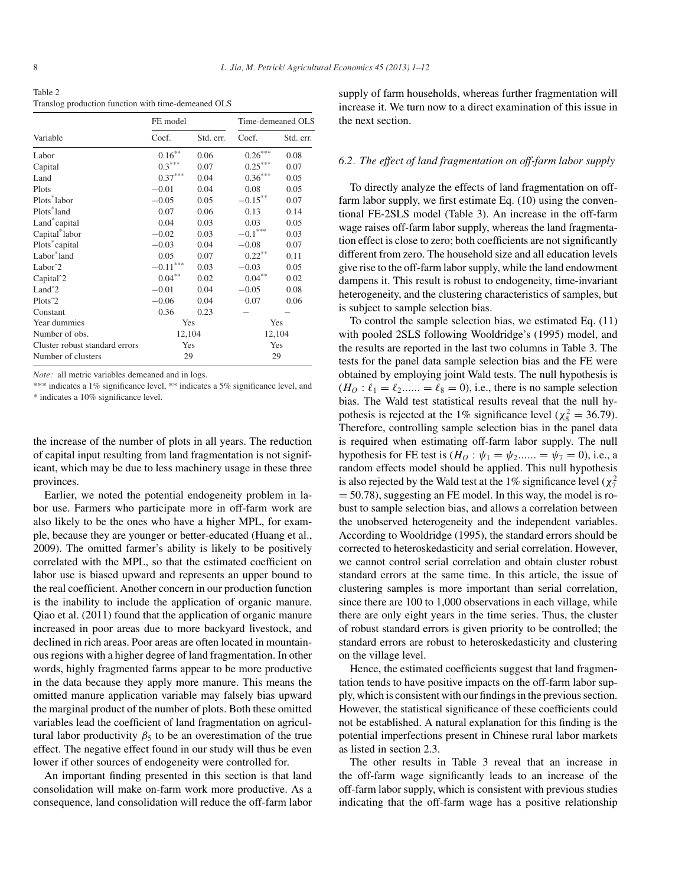| Table 2                                             |  |
|-----------------------------------------------------|--|
| Translog production function with time-demeaned OLS |  |

|                                | FE model   |           | Time-demeaned OLS     |           |
|--------------------------------|------------|-----------|-----------------------|-----------|
| Variable                       | Coef.      | Std. err. | Coef.                 | Std. err. |
| Labor                          | $0.16***$  | 0.06      | $0.26***$             | 0.08      |
| Capital                        | $0.3***$   | 0.07      | $0.25***$             | 0.07      |
| Land                           | $0.37***$  | 0.04      | $0.36***$             | 0.05      |
| Plots                          | $-0.01$    | 0.04      | 0.08                  | 0.05      |
| Plots <sup>*</sup> labor       | $-0.05$    | 0.05      | $-0.15***$            | 0.07      |
| Plots <sup>*</sup> land        | 0.07       | 0.06      | 0.13                  | 0.14      |
| Land <sup>*</sup> capital      | 0.04       | 0.03      | 0.03                  | 0.05      |
| Capital <sup>*</sup> labor     | $-0.02$    | 0.03      | $\mathbf{-0.1}^{***}$ | 0.03      |
| Plots <sup>*</sup> capital     | $-0.03$    | 0.04      | $-0.08$               | 0.07      |
| Labor <sup>*</sup> land        | 0.05       | 0.07      | $0.22***$             | 0.11      |
| Labor <sup>2</sup>             | $-0.11***$ | 0.03      | $-0.03$               | 0.05      |
| Capital <sup>2</sup>           | $0.04***$  | 0.02      | $0.04^{\ast\ast}$     | 0.02      |
| Land $\hat{}$ 2                | $-0.01$    | 0.04      | $-0.05$               | 0.08      |
| Plots <sup>2</sup>             | $-0.06$    | 0.04      | 0.07                  | 0.06      |
| Constant                       | 0.36       | 0.23      |                       |           |
| Year dummies                   | Yes        |           | Yes                   |           |
| Number of obs.                 | 12,104     |           | 12,104                |           |
| Cluster robust standard errors | Yes        |           | Yes                   |           |
| Number of clusters             | 29         |           | 29                    |           |

*Note:* all metric variables demeaned and in logs.

\*\*\* indicates a 1% significance level, \*\* indicates a 5% significance level, and \* indicates a 10% significance level.

the increase of the number of plots in all years. The reduction of capital input resulting from land fragmentation is not significant, which may be due to less machinery usage in these three provinces.

Earlier, we noted the potential endogeneity problem in labor use. Farmers who participate more in off-farm work are also likely to be the ones who have a higher MPL, for example, because they are younger or better-educated (Huang et al., 2009). The omitted farmer's ability is likely to be positively correlated with the MPL, so that the estimated coefficient on labor use is biased upward and represents an upper bound to the real coefficient. Another concern in our production function is the inability to include the application of organic manure. Qiao et al. (2011) found that the application of organic manure increased in poor areas due to more backyard livestock, and declined in rich areas. Poor areas are often located in mountainous regions with a higher degree of land fragmentation. In other words, highly fragmented farms appear to be more productive in the data because they apply more manure. This means the omitted manure application variable may falsely bias upward the marginal product of the number of plots. Both these omitted variables lead the coefficient of land fragmentation on agricultural labor productivity  $β_5$  to be an overestimation of the true effect. The negative effect found in our study will thus be even lower if other sources of endogeneity were controlled for.

An important finding presented in this section is that land consolidation will make on-farm work more productive. As a consequence, land consolidation will reduce the off-farm labor supply of farm households, whereas further fragmentation will increase it. We turn now to a direct examination of this issue in the next section.

# *6.2. The effect of land fragmentation on off-farm labor supply*

To directly analyze the effects of land fragmentation on offfarm labor supply, we first estimate Eq. (10) using the conventional FE-2SLS model (Table 3). An increase in the off-farm wage raises off-farm labor supply, whereas the land fragmentation effect is close to zero; both coefficients are not significantly different from zero. The household size and all education levels give rise to the off-farm labor supply, while the land endowment dampens it. This result is robust to endogeneity, time-invariant heterogeneity, and the clustering characteristics of samples, but is subject to sample selection bias.

To control the sample selection bias, we estimated Eq. (11) with pooled 2SLS following Wooldridge's (1995) model, and the results are reported in the last two columns in Table 3. The tests for the panel data sample selection bias and the FE were obtained by employing joint Wald tests. The null hypothesis is  $(H<sub>0</sub>: \ell<sub>1</sub> = \ell<sub>2</sub>...... = \ell<sub>8</sub> = 0)$ , i.e., there is no sample selection bias. The Wald test statistical results reveal that the null hypothesis is rejected at the 1% significance level ( $\chi^2_8$  = 36.79). Therefore, controlling sample selection bias in the panel data is required when estimating off-farm labor supply. The null hypothesis for FE test is  $(H_0 : \psi_1 = \psi_2$ ...... =  $\psi_7 = 0$ ), i.e., a random effects model should be applied. This null hypothesis is also rejected by the Wald test at the 1% significance level  $(\chi^2_7)$  $= 50.78$ ), suggesting an FE model. In this way, the model is robust to sample selection bias, and allows a correlation between the unobserved heterogeneity and the independent variables. According to Wooldridge (1995), the standard errors should be corrected to heteroskedasticity and serial correlation. However, we cannot control serial correlation and obtain cluster robust standard errors at the same time. In this article, the issue of clustering samples is more important than serial correlation, since there are 100 to 1,000 observations in each village, while there are only eight years in the time series. Thus, the cluster of robust standard errors is given priority to be controlled; the standard errors are robust to heteroskedasticity and clustering on the village level.

Hence, the estimated coefficients suggest that land fragmentation tends to have positive impacts on the off-farm labor supply, which is consistent with our findings in the previous section. However, the statistical significance of these coefficients could not be established. A natural explanation for this finding is the potential imperfections present in Chinese rural labor markets as listed in section 2.3.

The other results in Table 3 reveal that an increase in the off-farm wage significantly leads to an increase of the off-farm labor supply, which is consistent with previous studies indicating that the off-farm wage has a positive relationship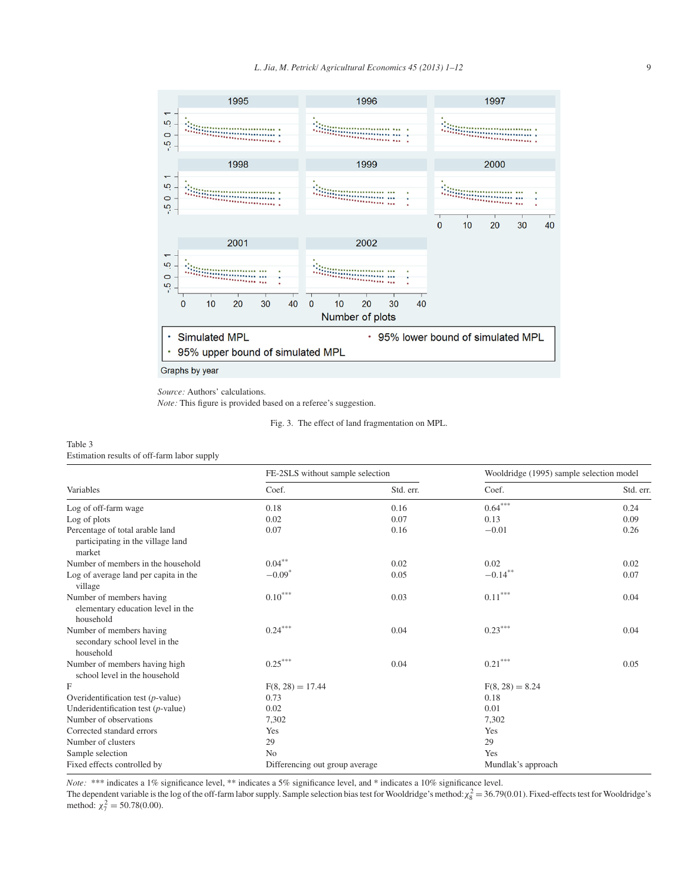

#### Graphs by year

*Source:* Authors' calculations.

*Note:* This figure is provided based on a referee's suggestion.

## Table 3 Estimation results of off-farm labor supply

| Variables                                                                      | FE-2SLS without sample selection |           | Wooldridge (1995) sample selection model |           |
|--------------------------------------------------------------------------------|----------------------------------|-----------|------------------------------------------|-----------|
|                                                                                | Coef.                            | Std. err. | Coef.                                    | Std. err. |
| Log of off-farm wage                                                           | 0.18                             | 0.16      | $0.64***$                                | 0.24      |
| Log of plots                                                                   | 0.02                             | 0.07      | 0.13                                     | 0.09      |
| Percentage of total arable land<br>participating in the village land<br>market | 0.07                             | 0.16      | $-0.01$                                  | 0.26      |
| Number of members in the household                                             | $0.04***$                        | 0.02      | 0.02                                     | 0.02      |
| Log of average land per capita in the<br>village                               | $-0.09^{\circ}$                  | 0.05      | $-0.14***$                               | 0.07      |
| Number of members having<br>elementary education level in the<br>household     | $0.10^{\ast\ast\ast}$            | 0.03      | $0.11^{\ast\ast\ast}$                    | 0.04      |
| Number of members having<br>secondary school level in the<br>household         | $0.24***$                        | 0.04      | $0.23***$                                | 0.04      |
| Number of members having high<br>school level in the household                 | $0.25***$                        | 0.04      | $0.21***$                                | 0.05      |
| F                                                                              | $F(8, 28) = 17.44$               |           | $F(8, 28) = 8.24$                        |           |
| Overidentification test $(p$ -value)                                           | 0.73                             |           | 0.18                                     |           |
| Underidentification test $(p$ -value)                                          | 0.02                             |           | 0.01                                     |           |
| Number of observations                                                         | 7,302                            |           | 7,302                                    |           |
| Corrected standard errors                                                      | Yes                              |           | Yes                                      |           |
| Number of clusters                                                             | 29                               |           | 29                                       |           |
| Sample selection                                                               | N <sub>0</sub>                   |           | Yes                                      |           |
| Fixed effects controlled by                                                    | Differencing out group average   |           | Mundlak's approach                       |           |

*Note:* \*\*\* indicates a 1% significance level, \*\* indicates a 5% significance level, and \* indicates a 10% significance level.

The dependent variable is the log of the off-farm labor supply. Sample selection bias test for Wooldridge's method:  $\chi^2_8 = 36.79(0.01)$ . Fixed-effects test for Wooldridge's method:  $\chi_7^2 = 50.78(0.00)$ .

Fig. 3. The effect of land fragmentation on MPL.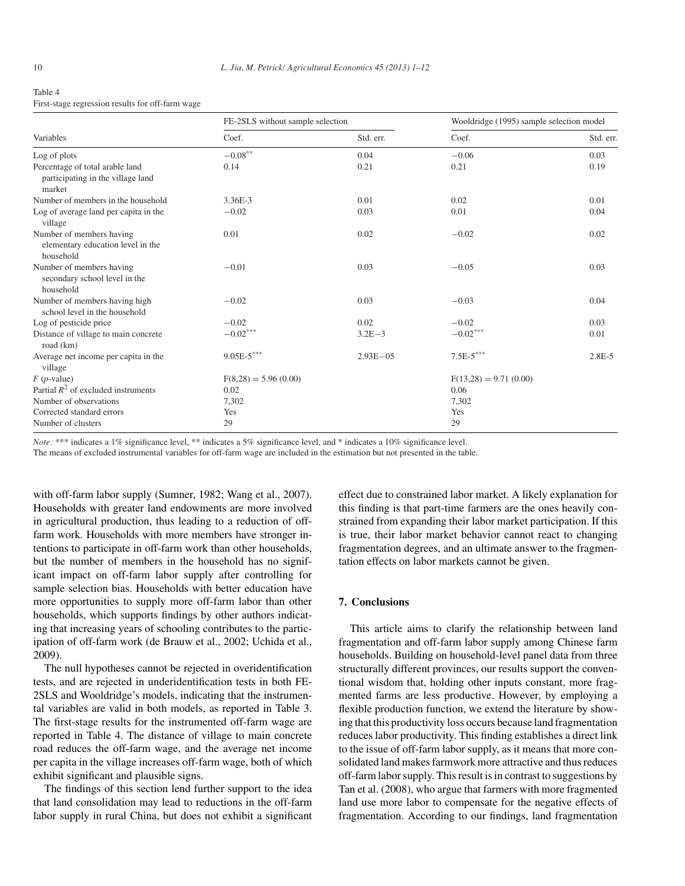| Table 4                                          |  |  |  |
|--------------------------------------------------|--|--|--|
| First-stage regression results for off-farm wage |  |  |  |

| Variables                                                                      | FE-2SLS without sample selection |              | Wooldridge (1995) sample selection model |           |
|--------------------------------------------------------------------------------|----------------------------------|--------------|------------------------------------------|-----------|
|                                                                                | Coef.                            | Std. err.    | Coef.                                    | Std. err. |
| Log of plots                                                                   | $-0.08***$                       | 0.04         | $-0.06$                                  | 0.03      |
| Percentage of total arable land<br>participating in the village land<br>market | 0.14                             | 0.21         | 0.21                                     | 0.19      |
| Number of members in the household                                             | 3.36E-3                          | 0.01         | 0.02                                     | 0.01      |
| Log of average land per capita in the<br>village                               | $-0.02$                          | 0.03         | 0.01                                     | 0.04      |
| Number of members having<br>elementary education level in the<br>household     | 0.01                             | 0.02         | $-0.02$                                  | 0.02      |
| Number of members having<br>secondary school level in the<br>household         | $-0.01$                          | 0.03         | $-0.05$                                  | 0.03      |
| Number of members having high<br>school level in the household                 | $-0.02$                          | 0.03         | $-0.03$                                  | 0.04      |
| Log of pesticide price                                                         | $-0.02$                          | 0.02         | $-0.02$                                  | 0.03      |
| Distance of village to main concrete<br>road (km)                              | $-0.02^{***}\,$                  | $3.2E - 3$   | $-0.02^{\ast\ast\ast}$                   | 0.01      |
| Average net income per capita in the<br>village                                | $9.05E-5***$                     | $2.93E - 05$ | $7.5E-5***$                              | 2.8E-5    |
| $F$ ( <i>p</i> -value)                                                         | $F(8,28) = 5.96(0.00)$           |              | $F(13,28) = 9.71(0.00)$                  |           |
| Partial $R^2$ of excluded instruments                                          | 0.02                             |              | 0.06                                     |           |
| Number of observations                                                         | 7,302                            |              | 7,302                                    |           |
| Corrected standard errors                                                      | Yes                              |              | Yes                                      |           |
| Number of clusters                                                             | 29                               |              | 29                                       |           |

*Note:* \*\*\* indicates a 1% significance level, \*\* indicates a 5% significance level, and \* indicates a 10% significance level.

The means of excluded instrumental variables for off-farm wage are included in the estimation but not presented in the table.

with off-farm labor supply (Sumner, 1982; Wang et al., 2007). Households with greater land endowments are more involved in agricultural production, thus leading to a reduction of offfarm work. Households with more members have stronger intentions to participate in off-farm work than other households, but the number of members in the household has no significant impact on off-farm labor supply after controlling for sample selection bias. Households with better education have more opportunities to supply more off-farm labor than other households, which supports findings by other authors indicating that increasing years of schooling contributes to the participation of off-farm work (de Brauw et al., 2002; Uchida et al., 2009).

The null hypotheses cannot be rejected in overidentification tests, and are rejected in underidentification tests in both FE-2SLS and Wooldridge's models, indicating that the instrumental variables are valid in both models, as reported in Table 3. The first-stage results for the instrumented off-farm wage are reported in Table 4. The distance of village to main concrete road reduces the off-farm wage, and the average net income per capita in the village increases off-farm wage, both of which exhibit significant and plausible signs.

The findings of this section lend further support to the idea that land consolidation may lead to reductions in the off-farm labor supply in rural China, but does not exhibit a significant effect due to constrained labor market. A likely explanation for this finding is that part-time farmers are the ones heavily constrained from expanding their labor market participation. If this is true, their labor market behavior cannot react to changing fragmentation degrees, and an ultimate answer to the fragmentation effects on labor markets cannot be given.

# **7. Conclusions**

This article aims to clarify the relationship between land fragmentation and off-farm labor supply among Chinese farm households. Building on household-level panel data from three structurally different provinces, our results support the conventional wisdom that, holding other inputs constant, more fragmented farms are less productive. However, by employing a flexible production function, we extend the literature by showing that this productivity loss occurs because land fragmentation reduces labor productivity. This finding establishes a direct link to the issue of off-farm labor supply, as it means that more consolidated land makes farmwork more attractive and thus reduces off-farm labor supply. This result is in contrast to suggestions by Tan et al. (2008), who argue that farmers with more fragmented land use more labor to compensate for the negative effects of fragmentation. According to our findings, land fragmentation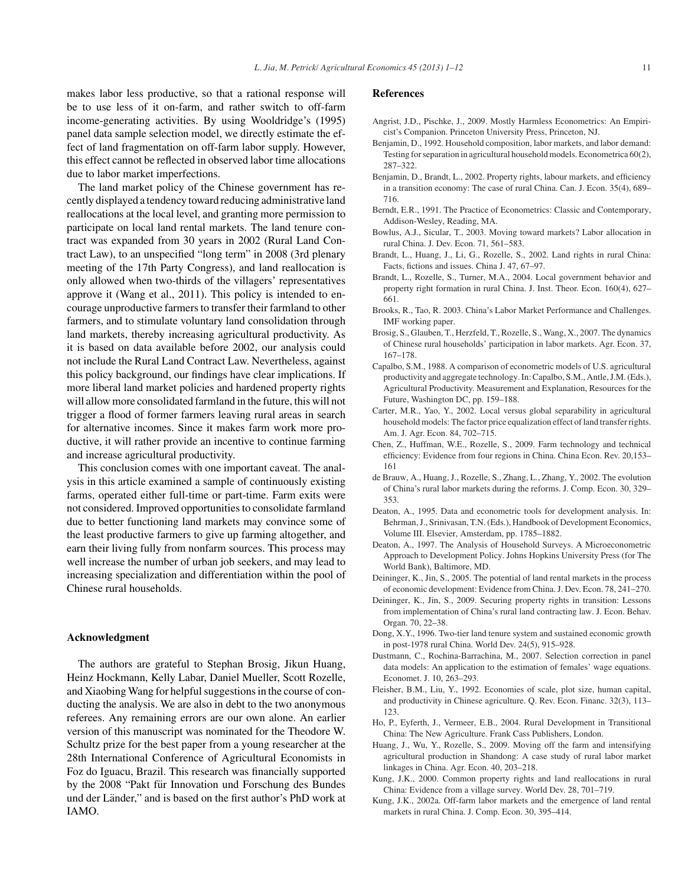makes labor less productive, so that a rational response will be to use less of it on-farm, and rather switch to off-farm income-generating activities. By using Wooldridge's (1995) panel data sample selection model, we directly estimate the effect of land fragmentation on off-farm labor supply. However, this effect cannot be reflected in observed labor time allocations due to labor market imperfections.

The land market policy of the Chinese government has recently displayed a tendency toward reducing administrative land reallocations at the local level, and granting more permission to participate on local land rental markets. The land tenure contract was expanded from 30 years in 2002 (Rural Land Contract Law), to an unspecified "long term" in 2008 (3rd plenary meeting of the 17th Party Congress), and land reallocation is only allowed when two-thirds of the villagers' representatives approve it (Wang et al., 2011). This policy is intended to encourage unproductive farmers to transfer their farmland to other farmers, and to stimulate voluntary land consolidation through land markets, thereby increasing agricultural productivity. As it is based on data available before 2002, our analysis could not include the Rural Land Contract Law. Nevertheless, against this policy background, our findings have clear implications. If more liberal land market policies and hardened property rights will allow more consolidated farmland in the future, this will not trigger a flood of former farmers leaving rural areas in search for alternative incomes. Since it makes farm work more productive, it will rather provide an incentive to continue farming and increase agricultural productivity.

This conclusion comes with one important caveat. The analysis in this article examined a sample of continuously existing farms, operated either full-time or part-time. Farm exits were not considered. Improved opportunities to consolidate farmland due to better functioning land markets may convince some of the least productive farmers to give up farming altogether, and earn their living fully from nonfarm sources. This process may well increase the number of urban job seekers, and may lead to increasing specialization and differentiation within the pool of Chinese rural households.

#### **Acknowledgment**

The authors are grateful to Stephan Brosig, Jikun Huang, Heinz Hockmann, Kelly Labar, Daniel Mueller, Scott Rozelle, and Xiaobing Wang for helpful suggestions in the course of conducting the analysis. We are also in debt to the two anonymous referees. Any remaining errors are our own alone. An earlier version of this manuscript was nominated for the Theodore W. Schultz prize for the best paper from a young researcher at the 28th International Conference of Agricultural Economists in Foz do Iguacu, Brazil. This research was financially supported by the 2008 "Pakt für Innovation und Forschung des Bundes und der Länder," and is based on the first author's PhD work at IAMO.

#### **References**

- Angrist, J.D., Pischke, J., 2009. Mostly Harmless Econometrics: An Empiricist's Companion. Princeton University Press, Princeton, NJ.
- Benjamin, D., 1992. Household composition, labor markets, and labor demand: Testing for separation in agricultural household models. Econometrica 60(2), 287–322.
- Benjamin, D., Brandt, L., 2002. Property rights, labour markets, and efficiency in a transition economy: The case of rural China. Can. J. Econ. 35(4), 689– 716.
- Berndt, E.R., 1991. The Practice of Econometrics: Classic and Contemporary, Addison-Wesley, Reading, MA.
- Bowlus, A.J., Sicular, T., 2003. Moving toward markets? Labor allocation in rural China. J. Dev. Econ. 71, 561–583.
- Brandt, L., Huang, J., Li, G., Rozelle, S., 2002. Land rights in rural China: Facts, fictions and issues. China J. 47, 67–97.
- Brandt, L., Rozelle, S., Turner, M.A., 2004. Local government behavior and property right formation in rural China. J. Inst. Theor. Econ. 160(4), 627– 661.
- Brooks, R., Tao, R. 2003. China's Labor Market Performance and Challenges. IMF working paper.
- Brosig, S., Glauben, T., Herzfeld, T., Rozelle, S., Wang, X., 2007. The dynamics of Chinese rural households' participation in labor markets. Agr. Econ. 37, 167–178.
- Capalbo, S.M., 1988. A comparison of econometric models of U.S. agricultural productivity and aggregate technology. In: Capalbo, S.M., Antle, J.M. (Eds.), Agricultural Productivity. Measurement and Explanation, Resources for the Future, Washington DC, pp. 159–188.
- Carter, M.R., Yao, Y., 2002. Local versus global separability in agricultural household models: The factor price equalization effect of land transfer rights. Am. J. Agr. Econ. 84, 702–715.
- Chen, Z., Huffman, W.E., Rozelle, S., 2009. Farm technology and technical efficiency: Evidence from four regions in China. China Econ. Rev. 20,153– 161
- de Brauw, A., Huang, J., Rozelle, S., Zhang, L., Zhang, Y., 2002. The evolution of China's rural labor markets during the reforms. J. Comp. Econ. 30, 329– 353.
- Deaton, A., 1995. Data and econometric tools for development analysis. In: Behrman, J., Srinivasan, T.N. (Eds.), Handbook of Development Economics, Volume III. Elsevier, Amsterdam, pp. 1785–1882.
- Deaton, A., 1997. The Analysis of Household Surveys. A Microeconometric Approach to Development Policy. Johns Hopkins University Press (for The World Bank), Baltimore, MD.
- Deininger, K., Jin, S., 2005. The potential of land rental markets in the process of economic development: Evidence from China. J. Dev. Econ. 78, 241–270.
- Deininger, K., Jin, S., 2009. Securing property rights in transition: Lessons from implementation of China's rural land contracting law. J. Econ. Behav. Organ. 70, 22–38.
- Dong, X.Y., 1996. Two-tier land tenure system and sustained economic growth in post-1978 rural China. World Dev. 24(5), 915–928.
- Dustmann, C., Rochina-Barrachina, M., 2007. Selection correction in panel data models: An application to the estimation of females' wage equations. Economet. J. 10, 263–293.
- Fleisher, B.M., Liu, Y., 1992. Economies of scale, plot size, human capital, and productivity in Chinese agriculture. Q. Rev. Econ. Financ. 32(3), 113– 123.
- Ho, P., Eyferth, J., Vermeer, E.B., 2004. Rural Development in Transitional China: The New Agriculture. Frank Cass Publishers, London.
- Huang, J., Wu, Y., Rozelle, S., 2009. Moving off the farm and intensifying agricultural production in Shandong: A case study of rural labor market linkages in China. Agr. Econ. 40, 203–218.
- Kung, J.K., 2000. Common property rights and land reallocations in rural China: Evidence from a village survey. World Dev. 28, 701–719.
- Kung, J.K., 2002a. Off-farm labor markets and the emergence of land rental markets in rural China. J. Comp. Econ. 30, 395–414.